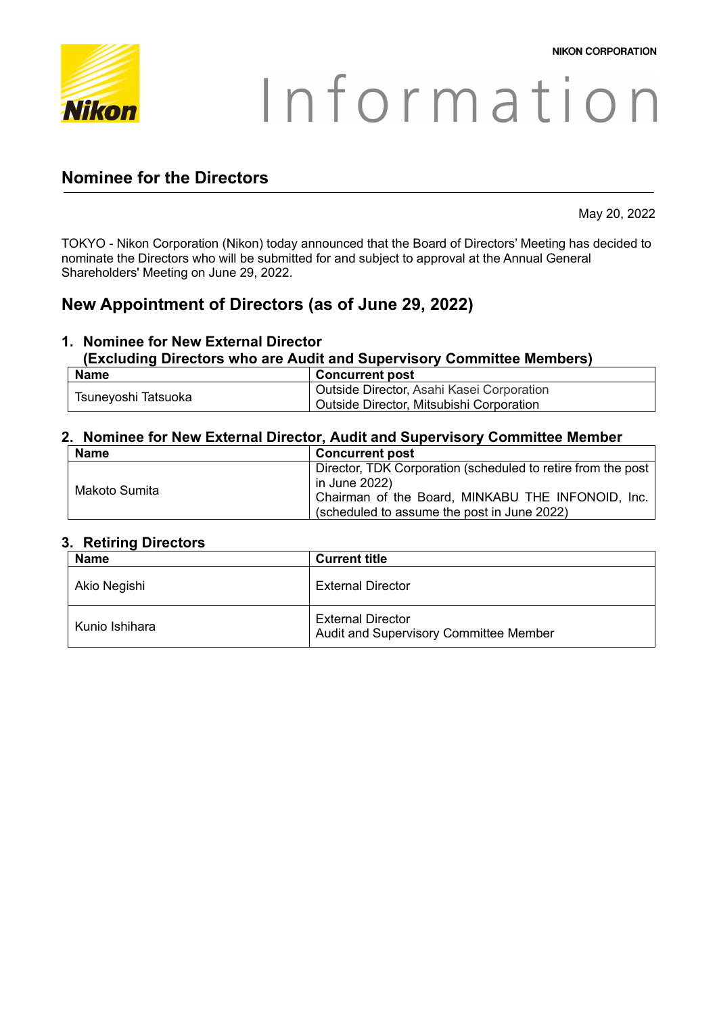

# Information

## **Nominee for the Directors**

May 20, 2022

TOKYO - Nikon Corporation (Nikon) today announced that the Board of Directors' Meeting has decided to nominate the Directors who will be submitted for and subject to approval at the Annual General Shareholders' Meeting on June 29, 2022.

## **New Appointment of Directors (as of June 29, 2022)**

# **1. Nominee for New External Director**

### **(Excluding Directors who are Audit and Supervisory Committee Members)**

| <b>Name</b>         | <b>Concurrent post</b>                    |
|---------------------|-------------------------------------------|
| Tsuneyoshi Tatsuoka | Outside Director, Asahi Kasei Corporation |
|                     | Outside Director, Mitsubishi Corporation  |

#### **2. Nominee for New External Director, Audit and Supervisory Committee Member**

| <b>Name</b>   | <b>Concurrent post</b>                                       |
|---------------|--------------------------------------------------------------|
| Makoto Sumita | Director, TDK Corporation (scheduled to retire from the post |
|               | in June 2022)                                                |
|               | Chairman of the Board, MINKABU THE INFONOID, Inc.            |
|               | (scheduled to assume the post in June 2022)                  |

#### **3. Retiring Directors**

| <b>Name</b>    | <b>Current title</b>                                               |
|----------------|--------------------------------------------------------------------|
| Akio Negishi   | <b>External Director</b>                                           |
| Kunio Ishihara | <b>External Director</b><br>Audit and Supervisory Committee Member |